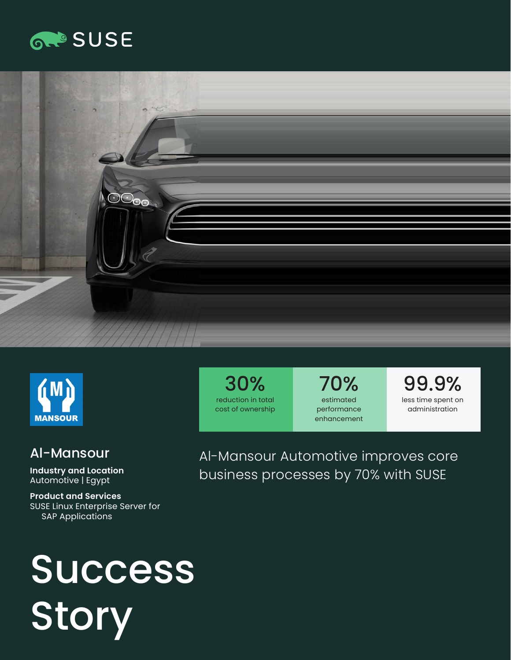### **GROSUSE**





#### Al-Mansour

**Industry and Location**  Automotive | Egypt

**Product and Services**  SUSE Linux Enterprise Server for SAP Applications

30% reduction in total cost of ownership

70% estimated performance enhancement

99.9% less time spent on administration

Al-Mansour Automotive improves core business processes by 70% with SUSE

# Success **Story**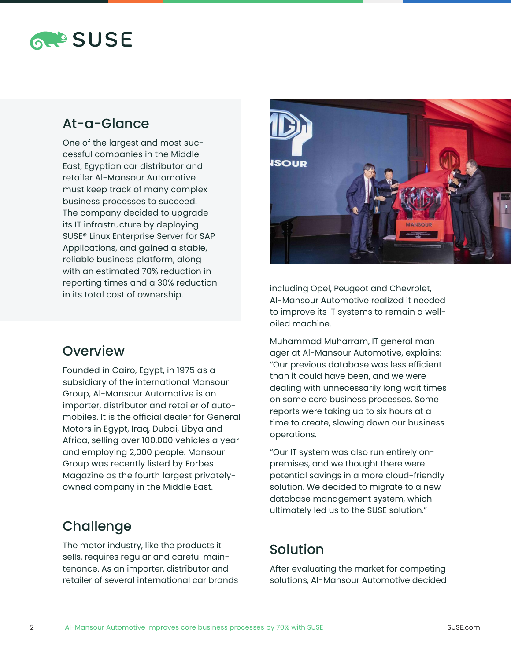

#### At-a-Glance

One of the largest and most successful companies in the Middle East, Egyptian car distributor and retailer Al-Mansour Automotive must keep track of many complex business processes to succeed. The company decided to upgrade its IT infrastructure by deploying SUSE® Linux Enterprise Server for SAP Applications, and gained a stable, reliable business platform, along with an estimated 70% reduction in reporting times and a 30% reduction in its total cost of ownership.



Founded in Cairo, Egypt, in 1975 as a subsidiary of the international Mansour Group, Al-Mansour Automotive is an importer, distributor and retailer of automobiles. It is the official dealer for General Motors in Egypt, Iraq, Dubai, Libya and Africa, selling over 100,000 vehicles a year and employing 2,000 people. Mansour Group was recently listed by Forbes Magazine as the fourth largest privatelyowned company in the Middle East.

#### **Challenge**

The motor industry, like the products it sells, requires regular and careful maintenance. As an importer, distributor and retailer of several international car brands



including Opel, Peugeot and Chevrolet, Al-Mansour Automotive realized it needed to improve its IT systems to remain a welloiled machine.

Muhammad Muharram, IT general manager at Al-Mansour Automotive, explains: "Our previous database was less efficient than it could have been, and we were dealing with unnecessarily long wait times on some core business processes. Some reports were taking up to six hours at a time to create, slowing down our business operations.

"Our IT system was also run entirely onpremises, and we thought there were potential savings in a more cloud-friendly solution. We decided to migrate to a new database management system, which ultimately led us to the SUSE solution."

#### Solution

After evaluating the market for competing solutions, Al-Mansour Automotive decided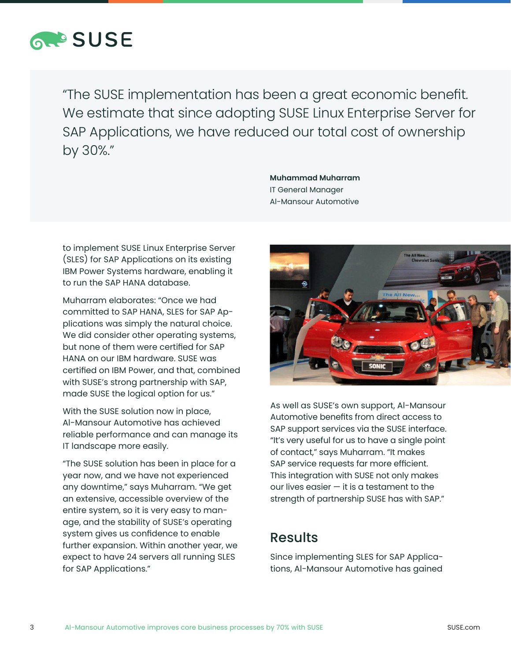

"The SUSE implementation has been a great economic benefit. We estimate that since adopting SUSE Linux Enterprise Server for SAP Applications, we have reduced our total cost of ownership by 30%."

> **Muhammad Muharram** IT General Manager Al-Mansour Automotive

to implement SUSE Linux Enterprise Server (SLES) for SAP Applications on its existing IBM Power Systems hardware, enabling it to run the SAP HANA database.

Muharram elaborates: "Once we had committed to SAP HANA, SLES for SAP Applications was simply the natural choice. We did consider other operating systems, but none of them were certified for SAP HANA on our IBM hardware. SUSE was certified on IBM Power, and that, combined with SUSE's strong partnership with SAP, made SUSE the logical option for us."

With the SUSE solution now in place, Al-Mansour Automotive has achieved reliable performance and can manage its IT landscape more easily.

"The SUSE solution has been in place for a year now, and we have not experienced any downtime," says Muharram. "We get an extensive, accessible overview of the entire system, so it is very easy to manage, and the stability of SUSE's operating system gives us confidence to enable further expansion. Within another year, we expect to have 24 servers all running SLES for SAP Applications."



As well as SUSE's own support, Al-Mansour Automotive benefits from direct access to SAP support services via the SUSE interface. "It's very useful for us to have a single point of contact," says Muharram. "It makes SAP service requests far more efficient. This integration with SUSE not only makes our lives easier  $-$  it is a testament to the strength of partnership SUSE has with SAP."

#### Results

Since implementing SLES for SAP Applications, Al-Mansour Automotive has gained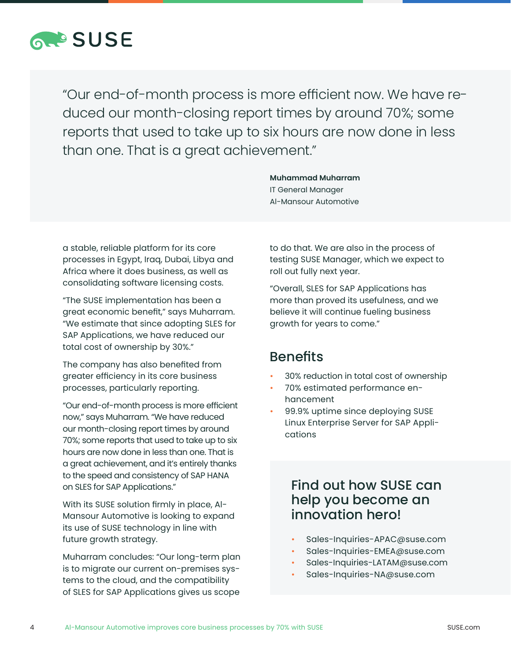

"Our end-of-month process is more efficient now. We have reduced our month-closing report times by around 70%; some reports that used to take up to six hours are now done in less than one. That is a great achievement."

> IT General Manager Al-Mansour Automotive

**Muhammad Muharram** 

a stable, reliable platform for its core processes in Egypt, Iraq, Dubai, Libya and Africa where it does business, as well as consolidating software licensing costs.

"The SUSE implementation has been a great economic benefit," says Muharram. "We estimate that since adopting SLES for SAP Applications, we have reduced our total cost of ownership by 30%."

The company has also benefited from greater efficiency in its core business processes, particularly reporting.

"Our end-of-month process is more efficient now," says Muharram. "We have reduced our month-closing report times by around 70%; some reports that used to take up to six hours are now done in less than one. That is a great achievement, and it's entirely thanks to the speed and consistency of SAP HANA on SLES for SAP Applications."

With its SUSE solution firmly in place, Al-Mansour Automotive is looking to expand its use of SUSE technology in line with future growth strategy.

Muharram concludes: "Our long-term plan is to migrate our current on-premises systems to the cloud, and the compatibility of SLES for SAP Applications gives us scope

to do that. We are also in the process of testing SUSE Manager, which we expect to roll out fully next year.

"Overall, SLES for SAP Applications has more than proved its usefulness, and we believe it will continue fueling business growth for years to come."

#### **Benefits**

- 30% reduction in total cost of ownership
- 70% estimated performance enhancement
- 99.9% uptime since deploying SUSE Linux Enterprise Server for SAP Applications

#### Find out how SUSE can help you become an innovation hero!

- Sales-Inquiries-APAC@suse.com
- Sales-Inquiries-EMEA@suse.com
- Sales-Inquiries-LATAM@suse.com
- Sales-Inquiries-NA@suse.com